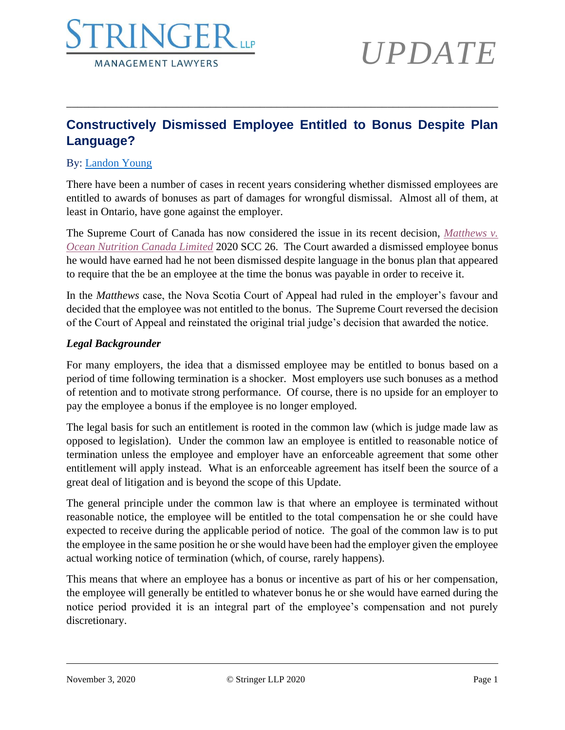

### **Constructively Dismissed Employee Entitled to Bonus Despite Plan Language?**

\_\_\_\_\_\_\_\_\_\_\_\_\_\_\_\_\_\_\_\_\_\_\_\_\_\_\_\_\_\_\_\_\_\_\_\_\_\_\_\_\_\_\_\_\_\_\_\_\_\_\_\_\_\_\_\_\_\_\_\_\_\_\_\_\_\_\_\_\_\_\_\_\_\_\_\_\_\_

#### By: [Landon Young](https://www.stringerllp.com/our-team/landon-p-young)

There have been a number of cases in recent years considering whether dismissed employees are entitled to awards of bonuses as part of damages for wrongful dismissal. Almost all of them, at least in Ontario, have gone against the employer.

The Supreme Court of Canada has now considered the issue in its recent decision, *[Matthews v.](https://www.stringerllp.com/uploads/ckeditor/attachment_files/935/matthews_v_ocean_nutrition_canada.pdf)  [Ocean Nutrition Canada Limited](https://www.stringerllp.com/uploads/ckeditor/attachment_files/935/matthews_v_ocean_nutrition_canada.pdf)* 2020 SCC 26. The Court awarded a dismissed employee bonus he would have earned had he not been dismissed despite language in the bonus plan that appeared to require that the be an employee at the time the bonus was payable in order to receive it.

In the *Matthews* case, the Nova Scotia Court of Appeal had ruled in the employer's favour and decided that the employee was not entitled to the bonus. The Supreme Court reversed the decision of the Court of Appeal and reinstated the original trial judge's decision that awarded the notice.

#### *Legal Backgrounder*

For many employers, the idea that a dismissed employee may be entitled to bonus based on a period of time following termination is a shocker. Most employers use such bonuses as a method of retention and to motivate strong performance. Of course, there is no upside for an employer to pay the employee a bonus if the employee is no longer employed.

The legal basis for such an entitlement is rooted in the common law (which is judge made law as opposed to legislation). Under the common law an employee is entitled to reasonable notice of termination unless the employee and employer have an enforceable agreement that some other entitlement will apply instead. What is an enforceable agreement has itself been the source of a great deal of litigation and is beyond the scope of this Update.

The general principle under the common law is that where an employee is terminated without reasonable notice, the employee will be entitled to the total compensation he or she could have expected to receive during the applicable period of notice. The goal of the common law is to put the employee in the same position he or she would have been had the employer given the employee actual working notice of termination (which, of course, rarely happens).

This means that where an employee has a bonus or incentive as part of his or her compensation, the employee will generally be entitled to whatever bonus he or she would have earned during the notice period provided it is an integral part of the employee's compensation and not purely discretionary.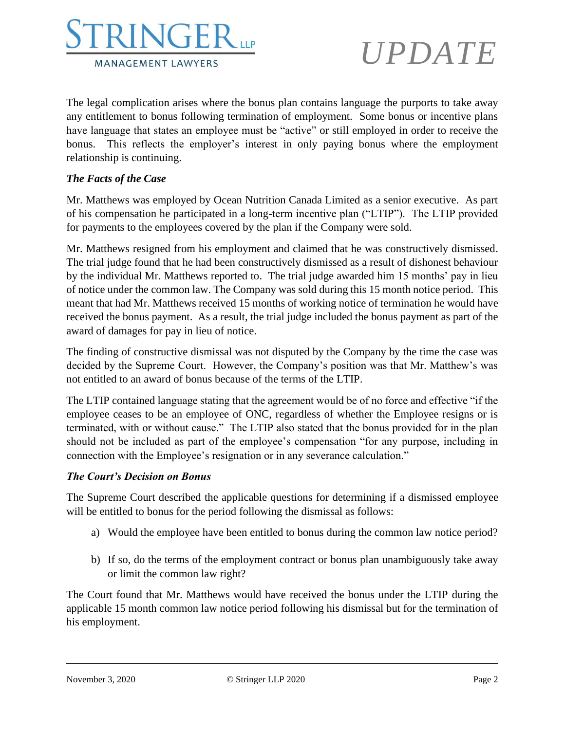

The legal complication arises where the bonus plan contains language the purports to take away any entitlement to bonus following termination of employment. Some bonus or incentive plans have language that states an employee must be "active" or still employed in order to receive the bonus. This reflects the employer's interest in only paying bonus where the employment relationship is continuing.

#### *The Facts of the Case*

Mr. Matthews was employed by Ocean Nutrition Canada Limited as a senior executive. As part of his compensation he participated in a long-term incentive plan ("LTIP"). The LTIP provided for payments to the employees covered by the plan if the Company were sold.

Mr. Matthews resigned from his employment and claimed that he was constructively dismissed. The trial judge found that he had been constructively dismissed as a result of dishonest behaviour by the individual Mr. Matthews reported to. The trial judge awarded him 15 months' pay in lieu of notice under the common law. The Company was sold during this 15 month notice period. This meant that had Mr. Matthews received 15 months of working notice of termination he would have received the bonus payment. As a result, the trial judge included the bonus payment as part of the award of damages for pay in lieu of notice.

The finding of constructive dismissal was not disputed by the Company by the time the case was decided by the Supreme Court. However, the Company's position was that Mr. Matthew's was not entitled to an award of bonus because of the terms of the LTIP.

The LTIP contained language stating that the agreement would be of no force and effective "if the employee ceases to be an employee of ONC, regardless of whether the Employee resigns or is terminated, with or without cause." The LTIP also stated that the bonus provided for in the plan should not be included as part of the employee's compensation "for any purpose, including in connection with the Employee's resignation or in any severance calculation."

#### *The Court's Decision on Bonus*

The Supreme Court described the applicable questions for determining if a dismissed employee will be entitled to bonus for the period following the dismissal as follows:

- a) Would the employee have been entitled to bonus during the common law notice period?
- b) If so, do the terms of the employment contract or bonus plan unambiguously take away or limit the common law right?

The Court found that Mr. Matthews would have received the bonus under the LTIP during the applicable 15 month common law notice period following his dismissal but for the termination of his employment.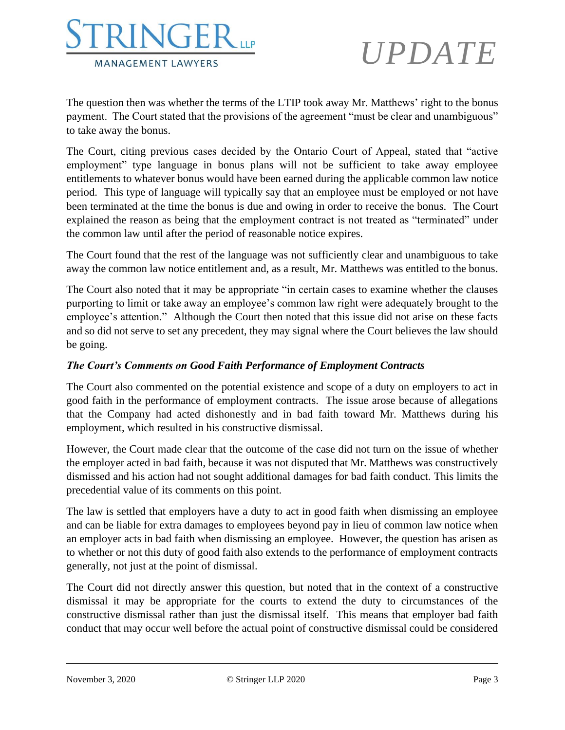

The question then was whether the terms of the LTIP took away Mr. Matthews' right to the bonus payment. The Court stated that the provisions of the agreement "must be clear and unambiguous" to take away the bonus.

The Court, citing previous cases decided by the Ontario Court of Appeal, stated that "active employment" type language in bonus plans will not be sufficient to take away employee entitlements to whatever bonus would have been earned during the applicable common law notice period. This type of language will typically say that an employee must be employed or not have been terminated at the time the bonus is due and owing in order to receive the bonus. The Court explained the reason as being that the employment contract is not treated as "terminated" under the common law until after the period of reasonable notice expires.

The Court found that the rest of the language was not sufficiently clear and unambiguous to take away the common law notice entitlement and, as a result, Mr. Matthews was entitled to the bonus.

The Court also noted that it may be appropriate "in certain cases to examine whether the clauses purporting to limit or take away an employee's common law right were adequately brought to the employee's attention." Although the Court then noted that this issue did not arise on these facts and so did not serve to set any precedent, they may signal where the Court believes the law should be going.

#### *The Court's Comments on Good Faith Performance of Employment Contracts*

The Court also commented on the potential existence and scope of a duty on employers to act in good faith in the performance of employment contracts. The issue arose because of allegations that the Company had acted dishonestly and in bad faith toward Mr. Matthews during his employment, which resulted in his constructive dismissal.

However, the Court made clear that the outcome of the case did not turn on the issue of whether the employer acted in bad faith, because it was not disputed that Mr. Matthews was constructively dismissed and his action had not sought additional damages for bad faith conduct. This limits the precedential value of its comments on this point.

The law is settled that employers have a duty to act in good faith when dismissing an employee and can be liable for extra damages to employees beyond pay in lieu of common law notice when an employer acts in bad faith when dismissing an employee. However, the question has arisen as to whether or not this duty of good faith also extends to the performance of employment contracts generally, not just at the point of dismissal.

The Court did not directly answer this question, but noted that in the context of a constructive dismissal it may be appropriate for the courts to extend the duty to circumstances of the constructive dismissal rather than just the dismissal itself. This means that employer bad faith conduct that may occur well before the actual point of constructive dismissal could be considered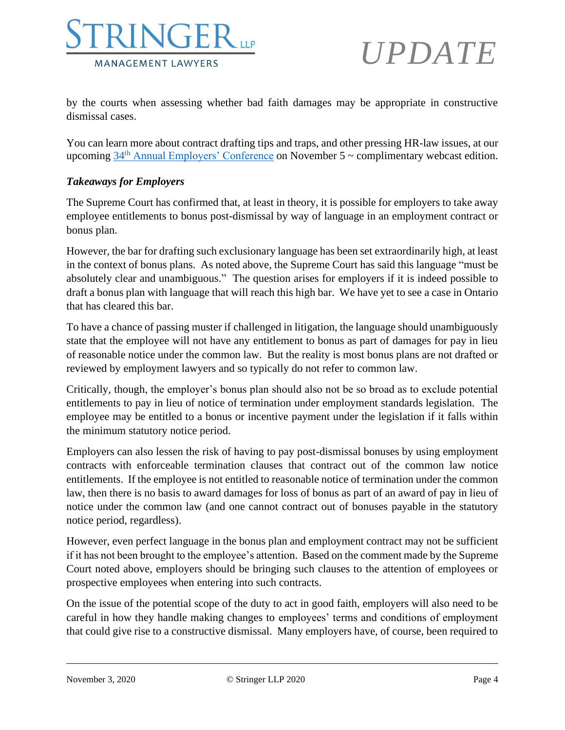

by the courts when assessing whether bad faith damages may be appropriate in constructive dismissal cases.

You can learn more about contract drafting tips and traps, and other pressing HR-law issues, at our upcoming  $34<sup>th</sup>$  [Annual Employers' Conference](https://www.stringerllp.com/seminars-events/34th-annual-employers-conference-webcast-edition) on November 5 ~ complimentary webcast edition.

#### *Takeaways for Employers*

The Supreme Court has confirmed that, at least in theory, it is possible for employers to take away employee entitlements to bonus post-dismissal by way of language in an employment contract or bonus plan.

However, the bar for drafting such exclusionary language has been set extraordinarily high, at least in the context of bonus plans. As noted above, the Supreme Court has said this language "must be absolutely clear and unambiguous." The question arises for employers if it is indeed possible to draft a bonus plan with language that will reach this high bar. We have yet to see a case in Ontario that has cleared this bar.

To have a chance of passing muster if challenged in litigation, the language should unambiguously state that the employee will not have any entitlement to bonus as part of damages for pay in lieu of reasonable notice under the common law. But the reality is most bonus plans are not drafted or reviewed by employment lawyers and so typically do not refer to common law.

Critically, though, the employer's bonus plan should also not be so broad as to exclude potential entitlements to pay in lieu of notice of termination under employment standards legislation. The employee may be entitled to a bonus or incentive payment under the legislation if it falls within the minimum statutory notice period.

Employers can also lessen the risk of having to pay post-dismissal bonuses by using employment contracts with enforceable termination clauses that contract out of the common law notice entitlements. If the employee is not entitled to reasonable notice of termination under the common law, then there is no basis to award damages for loss of bonus as part of an award of pay in lieu of notice under the common law (and one cannot contract out of bonuses payable in the statutory notice period, regardless).

However, even perfect language in the bonus plan and employment contract may not be sufficient if it has not been brought to the employee's attention. Based on the comment made by the Supreme Court noted above, employers should be bringing such clauses to the attention of employees or prospective employees when entering into such contracts.

On the issue of the potential scope of the duty to act in good faith, employers will also need to be careful in how they handle making changes to employees' terms and conditions of employment that could give rise to a constructive dismissal. Many employers have, of course, been required to